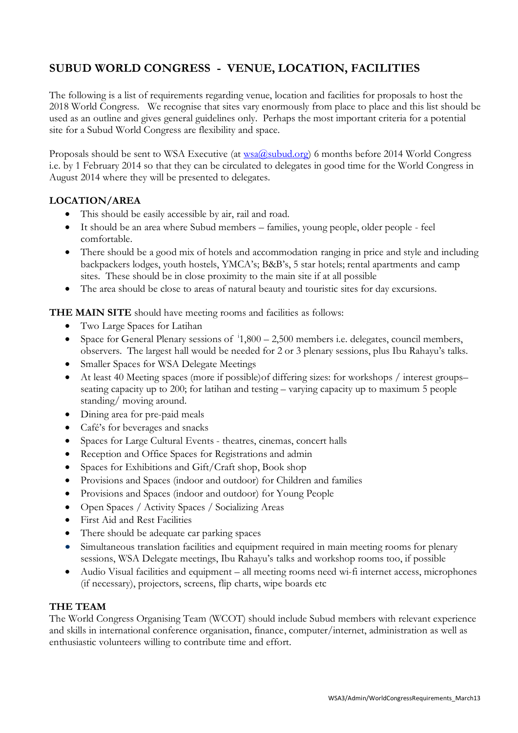# **SUBUD WORLD CONGRESS - VENUE, LOCATION, FACILITIES**

The following is a list of requirements regarding venue, location and facilities for proposals to host the 2018 World Congress. We recognise that sites vary enormously from place to place and this list should be used as an outline and gives general guidelines only. Perhaps the most important criteria for a potential site for a Subud World Congress are flexibility and space.

Proposals should be sent to WSA Executive (at [wsa@subud.org\)](mailto:wsa@subud.org) 6 months before 2014 World Congress i.e. by 1 February 2014 so that they can be circulated to delegates in good time for the World Congress in August 2014 where they will be presented to delegates.

### **LOCATION/AREA**

- This should be easily accessible by air, rail and road.
- It should be an area where Subud members families, young people, older people feel comfortable.
- There should be a good mix of hotels and accommodation ranging in price and style and including backpackers lodges, youth hostels, YMCA's; B&B's, 5 star hotels; rental apartments and camp sites. These should be in close proximity to the main site if at all possible
- The area should be close to areas of natural beauty and touristic sites for day excursions.

**THE MAIN SITE** should have meeting rooms and facilities as follows:

- Two Large Spaces for Latihan
- Space for General Plenary sessions of  $i$ 1,800 2,500 members i.e. delegates, council members, observers. The largest hall would be needed for 2 or 3 plenary sessions, plus Ibu Rahayu's talks.
- Smaller Spaces for WSA Delegate Meetings
- At least 40 Meeting spaces (more if possible)of differing sizes: for workshops / interest groups– seating capacity up to 200; for latihan and testing – varying capacity up to maximum 5 people standing/ moving around.
- Dining area for pre-paid meals
- Café's for beverages and snacks
- Spaces for Large Cultural Events theatres, cinemas, concert halls
- Reception and Office Spaces for Registrations and admin
- Spaces for Exhibitions and Gift/Craft shop, Book shop
- Provisions and Spaces (indoor and outdoor) for Children and families
- Provisions and Spaces (indoor and outdoor) for Young People
- Open Spaces / Activity Spaces / Socializing Areas
- First Aid and Rest Facilities
- There should be adequate car parking spaces
- Simultaneous translation facilities and equipment required in main meeting rooms for plenary sessions, WSA Delegate meetings, Ibu Rahayu's talks and workshop rooms too, if possible
- Audio Visual facilities and equipment all meeting rooms need wi-fi internet access, microphones (if necessary), projectors, screens, flip charts, wipe boards etc

### **THE TEAM**

The World Congress Organising Team (WCOT) should include Subud members with relevant experience and skills in international conference organisation, finance, computer/internet, administration as well as enthusiastic volunteers willing to contribute time and effort.